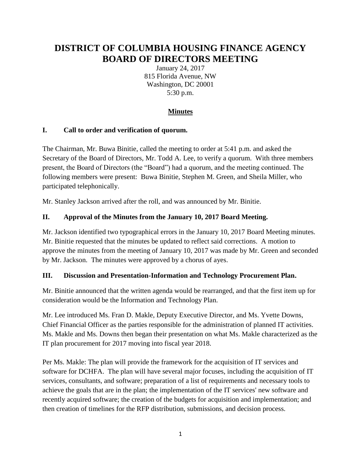# **DISTRICT OF COLUMBIA HOUSING FINANCE AGENCY BOARD OF DIRECTORS MEETING**

January 24, 2017 815 Florida Avenue, NW Washington, DC 20001 5:30 p.m.

## **Minutes**

### **I. Call to order and verification of quorum.**

The Chairman, Mr. Buwa Binitie, called the meeting to order at 5:41 p.m. and asked the Secretary of the Board of Directors, Mr. Todd A. Lee, to verify a quorum. With three members present, the Board of Directors (the "Board") had a quorum, and the meeting continued. The following members were present: Buwa Binitie, Stephen M. Green, and Sheila Miller, who participated telephonically.

Mr. Stanley Jackson arrived after the roll, and was announced by Mr. Binitie.

### **II. Approval of the Minutes from the January 10, 2017 Board Meeting.**

Mr. Jackson identified two typographical errors in the January 10, 2017 Board Meeting minutes. Mr. Binitie requested that the minutes be updated to reflect said corrections. A motion to approve the minutes from the meeting of January 10, 2017 was made by Mr. Green and seconded by Mr. Jackson. The minutes were approved by a chorus of ayes.

#### **III. Discussion and Presentation-Information and Technology Procurement Plan.**

Mr. Binitie announced that the written agenda would be rearranged, and that the first item up for consideration would be the Information and Technology Plan.

Mr. Lee introduced Ms. Fran D. Makle, Deputy Executive Director, and Ms. Yvette Downs, Chief Financial Officer as the parties responsible for the administration of planned IT activities. Ms. Makle and Ms. Downs then began their presentation on what Ms. Makle characterized as the IT plan procurement for 2017 moving into fiscal year 2018.

Per Ms. Makle: The plan will provide the framework for the acquisition of IT services and software for DCHFA. The plan will have several major focuses, including the acquisition of IT services, consultants, and software; preparation of a list of requirements and necessary tools to achieve the goals that are in the plan; the implementation of the IT services' new software and recently acquired software; the creation of the budgets for acquisition and implementation; and then creation of timelines for the RFP distribution, submissions, and decision process.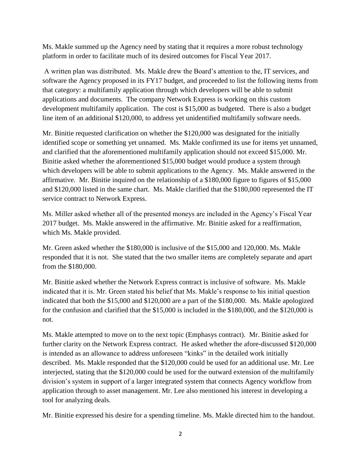Ms. Makle summed up the Agency need by stating that it requires a more robust technology platform in order to facilitate much of its desired outcomes for Fiscal Year 2017.

A written plan was distributed. Ms. Makle drew the Board's attention to the, IT services, and software the Agency proposed in its FY17 budget, and proceeded to list the following items from that category: a multifamily application through which developers will be able to submit applications and documents. The company Network Express is working on this custom development multifamily application. The cost is \$15,000 as budgeted. There is also a budget line item of an additional \$120,000, to address yet unidentified multifamily software needs.

Mr. Binitie requested clarification on whether the \$120,000 was designated for the initially identified scope or something yet unnamed. Ms. Makle confirmed its use for items yet unnamed, and clarified that the aforementioned multifamily application should not exceed \$15,000. Mr. Binitie asked whether the aforementioned \$15,000 budget would produce a system through which developers will be able to submit applications to the Agency. Ms. Makle answered in the affirmative. Mr. Binitie inquired on the relationship of a \$180,000 figure to figures of \$15,000 and \$120,000 listed in the same chart. Ms. Makle clarified that the \$180,000 represented the IT service contract to Network Express.

Ms. Miller asked whether all of the presented moneys are included in the Agency's Fiscal Year 2017 budget. Ms. Makle answered in the affirmative. Mr. Binitie asked for a reaffirmation, which Ms. Makle provided.

Mr. Green asked whether the \$180,000 is inclusive of the \$15,000 and 120,000. Ms. Makle responded that it is not. She stated that the two smaller items are completely separate and apart from the \$180,000.

Mr. Binitie asked whether the Network Express contract is inclusive of software. Ms. Makle indicated that it is. Mr. Green stated his belief that Ms. Makle's response to his initial question indicated that both the \$15,000 and \$120,000 are a part of the \$180,000. Ms. Makle apologized for the confusion and clarified that the \$15,000 is included in the \$180,000, and the \$120,000 is not.

Ms. Makle attempted to move on to the next topic (Emphasys contract). Mr. Binitie asked for further clarity on the Network Express contract. He asked whether the afore-discussed \$120,000 is intended as an allowance to address unforeseen "kinks" in the detailed work initially described. Ms. Makle responded that the \$120,000 could be used for an additional use. Mr. Lee interjected, stating that the \$120,000 could be used for the outward extension of the multifamily division's system in support of a larger integrated system that connects Agency workflow from application through to asset management. Mr. Lee also mentioned his interest in developing a tool for analyzing deals.

Mr. Binitie expressed his desire for a spending timeline. Ms. Makle directed him to the handout.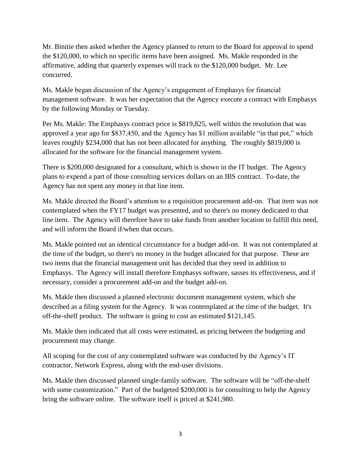Mr. Binitie then asked whether the Agency planned to return to the Board for approval to spend the \$120,000, to which no specific items have been assigned. Ms. Makle responded in the affirmative, adding that quarterly expenses will track to the \$120,000 budget. Mr. Lee concurred.

Ms. Makle began discussion of the Agency's engagement of Emphasys for financial management software. It was her expectation that the Agency execute a contract with Emphasys by the following Monday or Tuesday.

Per Ms. Makle: The Emphasys contract price is \$819,825, well within the resolution that was approved a year ago for \$837,450, and the Agency has \$1 million available "in that pot," which leaves roughly \$234,000 that has not been allocated for anything. The roughly \$819,000 is allocated for the software for the financial management system.

There is \$200,000 designated for a consultant, which is shown in the IT budget. The Agency plans to expend a part of those consulting services dollars on an IBS contract. To-date, the Agency has not spent any money in that line item.

Ms. Makle directed the Board's attention to a requisition procurement add-on. That item was not contemplated when the FY17 budget was presented, and so there's no money dedicated to that line item. The Agency will therefore have to take funds from another location to fulfill this need, and will inform the Board if/when that occurs.

Ms. Makle pointed out an identical circumstance for a budget add-on. It was not contemplated at the time of the budget, so there's no money in the budget allocated for that purpose. These are two items that the financial management unit has decided that they need in addition to Emphasys. The Agency will install therefore Emphasys software, sasses its effectiveness, and if necessary, consider a procurement add-on and the budget add-on.

Ms. Makle then discussed a planned electronic document management system, which she described as a filing system for the Agency. It was contemplated at the time of the budget. It's off-the-shelf product. The software is going to cost an estimated \$121,145.

Ms. Makle then indicated that all costs were estimated, as pricing between the budgeting and procurement may change.

All scoping for the cost of any contemplated software was conducted by the Agency's IT contractor, Network Express, along with the end-user divisions.

Ms. Makle then discussed planned single-family software. The software will be "off-the-shelf with some customization." Part of the budgeted \$200,000 is for consulting to help the Agency bring the software online. The software itself is priced at \$241,980.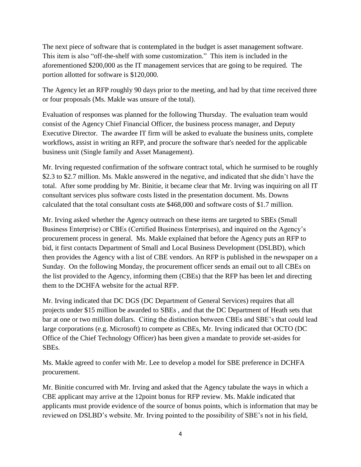The next piece of software that is contemplated in the budget is asset management software. This item is also "off-the-shelf with some customization." This item is included in the aforementioned \$200,000 as the IT management services that are going to be required. The portion allotted for software is \$120,000.

The Agency let an RFP roughly 90 days prior to the meeting, and had by that time received three or four proposals (Ms. Makle was unsure of the total).

Evaluation of responses was planned for the following Thursday. The evaluation team would consist of the Agency Chief Financial Officer, the business process manager, and Deputy Executive Director. The awardee IT firm will be asked to evaluate the business units, complete workflows, assist in writing an RFP, and procure the software that's needed for the applicable business unit (Single family and Asset Management).

Mr. Irving requested confirmation of the software contract total, which he surmised to be roughly \$2.3 to \$2.7 million. Ms. Makle answered in the negative, and indicated that she didn't have the total. After some prodding by Mr. Binitie, it became clear that Mr. Irving was inquiring on all IT consultant services plus software costs listed in the presentation document. Ms. Downs calculated that the total consultant costs ate \$468,000 and software costs of \$1.7 million.

Mr. Irving asked whether the Agency outreach on these items are targeted to SBEs (Small Business Enterprise) or CBEs (Certified Business Enterprises), and inquired on the Agency's procurement process in general. Ms. Makle explained that before the Agency puts an RFP to bid, it first contacts Department of Small and Local Business Development (DSLBD), which then provides the Agency with a list of CBE vendors. An RFP is published in the newspaper on a Sunday. On the following Monday, the procurement officer sends an email out to all CBEs on the list provided to the Agency, informing them (CBEs) that the RFP has been let and directing them to the DCHFA website for the actual RFP.

Mr. Irving indicated that DC DGS (DC Department of General Services) requires that all projects under \$15 million be awarded to SBEs , and that the DC Department of Heath sets that bar at one or two million dollars. Citing the distinction between CBEs and SBE's that could lead large corporations (e.g. Microsoft) to compete as CBEs, Mr. Irving indicated that OCTO (DC Office of the Chief Technology Officer) has been given a mandate to provide set-asides for SBEs.

Ms. Makle agreed to confer with Mr. Lee to develop a model for SBE preference in DCHFA procurement.

Mr. Binitie concurred with Mr. Irving and asked that the Agency tabulate the ways in which a CBE applicant may arrive at the 12point bonus for RFP review. Ms. Makle indicated that applicants must provide evidence of the source of bonus points, which is information that may be reviewed on DSLBD's website. Mr. Irving pointed to the possibility of SBE's not in his field,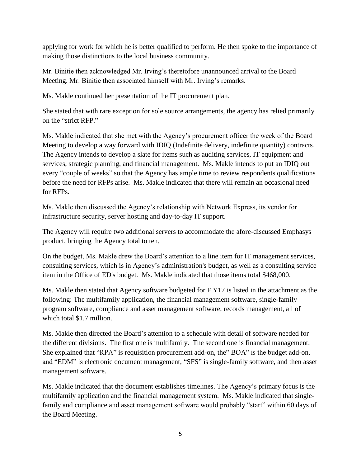applying for work for which he is better qualified to perform. He then spoke to the importance of making those distinctions to the local business community.

Mr. Binitie then acknowledged Mr. Irving's theretofore unannounced arrival to the Board Meeting. Mr. Binitie then associated himself with Mr. Irving's remarks.

Ms. Makle continued her presentation of the IT procurement plan.

She stated that with rare exception for sole source arrangements, the agency has relied primarily on the "strict RFP."

Ms. Makle indicated that she met with the Agency's procurement officer the week of the Board Meeting to develop a way forward with IDIQ (Indefinite delivery, indefinite quantity) contracts. The Agency intends to develop a slate for items such as auditing services, IT equipment and services, strategic planning, and financial management. Ms. Makle intends to put an IDIQ out every "couple of weeks" so that the Agency has ample time to review respondents qualifications before the need for RFPs arise. Ms. Makle indicated that there will remain an occasional need for RFPs.

Ms. Makle then discussed the Agency's relationship with Network Express, its vendor for infrastructure security, server hosting and day-to-day IT support.

The Agency will require two additional servers to accommodate the afore-discussed Emphasys product, bringing the Agency total to ten.

On the budget, Ms. Makle drew the Board's attention to a line item for IT management services, consulting services, which is in Agency's administration's budget, as well as a consulting service item in the Office of ED's budget. Ms. Makle indicated that those items total \$468,000.

Ms. Makle then stated that Agency software budgeted for F Y17 is listed in the attachment as the following: The multifamily application, the financial management software, single-family program software, compliance and asset management software, records management, all of which total \$1.7 million.

Ms. Makle then directed the Board's attention to a schedule with detail of software needed for the different divisions. The first one is multifamily. The second one is financial management. She explained that "RPA" is requisition procurement add-on, the" BOA" is the budget add-on, and "EDM" is electronic document management, "SFS" is single-family software, and then asset management software.

Ms. Makle indicated that the document establishes timelines. The Agency's primary focus is the multifamily application and the financial management system. Ms. Makle indicated that singlefamily and compliance and asset management software would probably "start" within 60 days of the Board Meeting.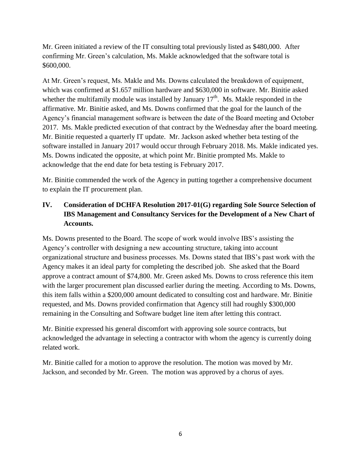Mr. Green initiated a review of the IT consulting total previously listed as \$480,000. After confirming Mr. Green's calculation, Ms. Makle acknowledged that the software total is \$600,000.

At Mr. Green's request, Ms. Makle and Ms. Downs calculated the breakdown of equipment, which was confirmed at \$1.657 million hardware and \$630,000 in software. Mr. Binitie asked whether the multifamily module was installed by January  $17<sup>th</sup>$ . Ms. Makle responded in the affirmative. Mr. Binitie asked, and Ms. Downs confirmed that the goal for the launch of the Agency's financial management software is between the date of the Board meeting and October 2017. Ms. Makle predicted execution of that contract by the Wednesday after the board meeting. Mr. Binitie requested a quarterly IT update. Mr. Jackson asked whether beta testing of the software installed in January 2017 would occur through February 2018. Ms. Makle indicated yes. Ms. Downs indicated the opposite, at which point Mr. Binitie prompted Ms. Makle to acknowledge that the end date for beta testing is February 2017.

Mr. Binitie commended the work of the Agency in putting together a comprehensive document to explain the IT procurement plan.

# **IV. Consideration of DCHFA Resolution 2017-01(G) regarding Sole Source Selection of IBS Management and Consultancy Services for the Development of a New Chart of Accounts.**

Ms. Downs presented to the Board. The scope of work would involve IBS's assisting the Agency's controller with designing a new accounting structure, taking into account organizational structure and business processes. Ms. Downs stated that IBS's past work with the Agency makes it an ideal party for completing the described job. She asked that the Board approve a contract amount of \$74,800. Mr. Green asked Ms. Downs to cross reference this item with the larger procurement plan discussed earlier during the meeting. According to Ms. Downs, this item falls within a \$200,000 amount dedicated to consulting cost and hardware. Mr. Binitie requested, and Ms. Downs provided confirmation that Agency still had roughly \$300,000 remaining in the Consulting and Software budget line item after letting this contract.

Mr. Binitie expressed his general discomfort with approving sole source contracts, but acknowledged the advantage in selecting a contractor with whom the agency is currently doing related work.

Mr. Binitie called for a motion to approve the resolution. The motion was moved by Mr. Jackson, and seconded by Mr. Green. The motion was approved by a chorus of ayes.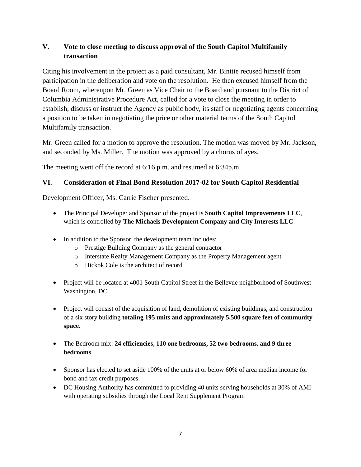## **V. Vote to close meeting to discuss approval of the South Capitol Multifamily transaction**

Citing his involvement in the project as a paid consultant, Mr. Binitie recused himself from participation in the deliberation and vote on the resolution. He then excused himself from the Board Room, whereupon Mr. Green as Vice Chair to the Board and pursuant to the District of Columbia Administrative Procedure Act, called for a vote to close the meeting in order to establish, discuss or instruct the Agency as public body, its staff or negotiating agents concerning a position to be taken in negotiating the price or other material terms of the South Capitol Multifamily transaction.

Mr. Green called for a motion to approve the resolution. The motion was moved by Mr. Jackson, and seconded by Ms. Miller. The motion was approved by a chorus of ayes.

The meeting went off the record at 6:16 p.m. and resumed at 6:34p.m.

### **VI. Consideration of Final Bond Resolution 2017-02 for South Capitol Residential**

Development Officer, Ms. Carrie Fischer presented.

- The Principal Developer and Sponsor of the project is **South Capitol Improvements LLC**, which is controlled by **The Michaels Development Company and City Interests LLC**
- In addition to the Sponsor, the development team includes:
	- o Prestige Building Company as the general contractor
	- o Interstate Realty Management Company as the Property Management agent
	- o Hickok Cole is the architect of record
- Project will be located at 4001 South Capitol Street in the Bellevue neighborhood of Southwest Washington, DC
- Project will consist of the acquisition of land, demolition of existing buildings, and construction of a six story building **totaling 195 units and approximately 5,500 square feet of community space**.
- The Bedroom mix: **24 efficiencies, 110 one bedrooms, 52 two bedrooms, and 9 three bedrooms**
- Sponsor has elected to set aside 100% of the units at or below 60% of area median income for bond and tax credit purposes.
- DC Housing Authority has committed to providing 40 units serving households at 30% of AMI with operating subsidies through the Local Rent Supplement Program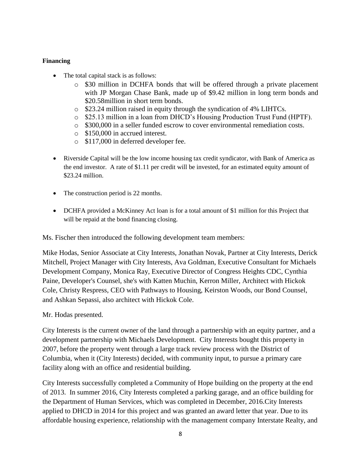#### **Financing**

- The total capital stack is as follows:
	- o \$30 million in DCHFA bonds that will be offered through a private placement with JP Morgan Chase Bank, made up of \$9.42 million in long term bonds and \$20.58million in short term bonds.
	- o \$23.24 million raised in equity through the syndication of 4% LIHTCs.
	- o \$25.13 million in a loan from DHCD's Housing Production Trust Fund (HPTF).
	- $\circ$  \$300,000 in a seller funded escrow to cover environmental remediation costs.
	- o \$150,000 in accrued interest.
	- o \$117,000 in deferred developer fee.
- Riverside Capital will be the low income housing tax credit syndicator, with Bank of America as the end investor. A rate of \$1.11 per credit will be invested, for an estimated equity amount of \$23.24 million.
- The construction period is 22 months.
- DCHFA provided a McKinney Act loan is for a total amount of \$1 million for this Project that will be repaid at the bond financing closing.

Ms. Fischer then introduced the following development team members:

Mike Hodas, Senior Associate at City Interests, Jonathan Novak, Partner at City Interests, Derick Mitchell, Project Manager with City Interests, Ava Goldman, Executive Consultant for Michaels Development Company, Monica Ray, Executive Director of Congress Heights CDC, Cynthia Paine, Developer's Counsel, she's with Katten Muchin, Kerron Miller, Architect with Hickok Cole, Christy Respress, CEO with Pathways to Housing, Keirston Woods, our Bond Counsel, and Ashkan Sepassi, also architect with Hickok Cole.

#### Mr. Hodas presented.

City Interests is the current owner of the land through a partnership with an equity partner, and a development partnership with Michaels Development. City Interests bought this property in 2007, before the property went through a large track review process with the District of Columbia, when it (City Interests) decided, with community input, to pursue a primary care facility along with an office and residential building.

City Interests successfully completed a Community of Hope building on the property at the end of 2013. In summer 2016, City Interests completed a parking garage, and an office building for the Department of Human Services, which was completed in December, 2016.City Interests applied to DHCD in 2014 for this project and was granted an award letter that year. Due to its affordable housing experience, relationship with the management company Interstate Realty, and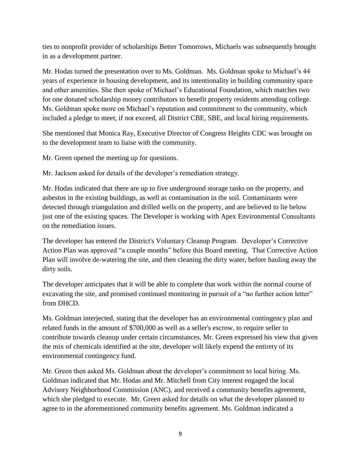ties to nonprofit provider of scholarships Better Tomorrows, Michaels was subsequently brought in as a development partner.

Mr. Hodas turned the presentation over to Ms. Goldman. Ms. Goldman spoke to Michael's 44 years of experience in housing development, and its intentionality in building community space and other amenities. She then spoke of Michael's Educational Foundation, which matches two for one donated scholarship money contributors to benefit property residents attending college. Ms. Goldman spoke more on Michael's reputation and commitment to the community, which included a pledge to meet, if not exceed, all District CBE, SBE, and local hiring requirements.

She mentioned that Monica Ray, Executive Director of Congress Heights CDC was brought on to the development team to liaise with the community.

Mr. Green opened the meeting up for questions.

Mr. Jackson asked for details of the developer's remediation strategy.

Mr. Hodas indicated that there are up to five underground storage tanks on the property, and asbestos in the existing buildings, as well as contamination in the soil. Contaminants were detected through triangulation and drilled wells on the property, and are believed to lie below just one of the existing spaces. The Developer is working with Apex Environmental Consultants on the remediation issues.

The developer has entered the District's Voluntary Cleanup Program. Developer's Corrective Action Plan was approved "a couple months" before this Board meeting. That Corrective Action Plan will involve de-watering the site, and then cleaning the dirty water, before hauling away the dirty soils.

The developer anticipates that it will be able to complete that work within the normal course of excavating the site, and promised continued monitoring in pursuit of a "no further action letter" from DHCD.

Ms. Goldman interjected, stating that the developer has an environmental contingency plan and related funds in the amount of \$700,000 as well as a seller's escrow, to require seller to contribute towards cleanup under certain circumstances. Mr. Green expressed his view that given the mix of chemicals identified at the site, developer will likely expend the entirety of its environmental contingency fund.

Mr. Green then asked Ms. Goldman about the developer's commitment to local hiring. Ms. Goldman indicated that Mr. Hodas and Mr. Mitchell from City interest engaged the local Advisory Neighborhood Commission (ANC), and received a community benefits agreement, which she pledged to execute. Mr. Green asked for details on what the developer planned to agree to in the aforementioned community benefits agreement. Ms. Goldman indicated a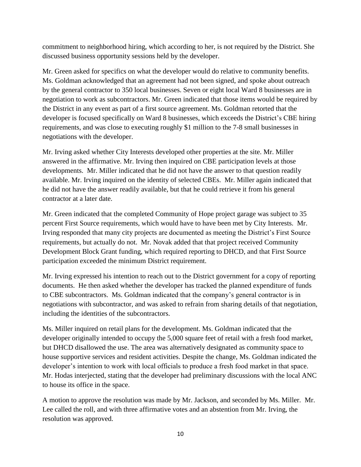commitment to neighborhood hiring, which according to her, is not required by the District. She discussed business opportunity sessions held by the developer.

Mr. Green asked for specifics on what the developer would do relative to community benefits. Ms. Goldman acknowledged that an agreement had not been signed, and spoke about outreach by the general contractor to 350 local businesses. Seven or eight local Ward 8 businesses are in negotiation to work as subcontractors. Mr. Green indicated that those items would be required by the District in any event as part of a first source agreement. Ms. Goldman retorted that the developer is focused specifically on Ward 8 businesses, which exceeds the District's CBE hiring requirements, and was close to executing roughly \$1 million to the 7-8 small businesses in negotiations with the developer.

Mr. Irving asked whether City Interests developed other properties at the site. Mr. Miller answered in the affirmative. Mr. Irving then inquired on CBE participation levels at those developments. Mr. Miller indicated that he did not have the answer to that question readily available. Mr. Irving inquired on the identity of selected CBEs. Mr. Miller again indicated that he did not have the answer readily available, but that he could retrieve it from his general contractor at a later date.

Mr. Green indicated that the completed Community of Hope project garage was subject to 35 percent First Source requirements, which would have to have been met by City Interests. Mr. Irving responded that many city projects are documented as meeting the District's First Source requirements, but actually do not. Mr. Novak added that that project received Community Development Block Grant funding, which required reporting to DHCD, and that First Source participation exceeded the minimum District requirement.

Mr. Irving expressed his intention to reach out to the District government for a copy of reporting documents. He then asked whether the developer has tracked the planned expenditure of funds to CBE subcontractors. Ms. Goldman indicated that the company's general contractor is in negotiations with subcontractor, and was asked to refrain from sharing details of that negotiation, including the identities of the subcontractors.

Ms. Miller inquired on retail plans for the development. Ms. Goldman indicated that the developer originally intended to occupy the 5,000 square feet of retail with a fresh food market, but DHCD disallowed the use. The area was alternatively designated as community space to house supportive services and resident activities. Despite the change, Ms. Goldman indicated the developer's intention to work with local officials to produce a fresh food market in that space. Mr. Hodas interjected, stating that the developer had preliminary discussions with the local ANC to house its office in the space.

A motion to approve the resolution was made by Mr. Jackson, and seconded by Ms. Miller. Mr. Lee called the roll, and with three affirmative votes and an abstention from Mr. Irving, the resolution was approved.